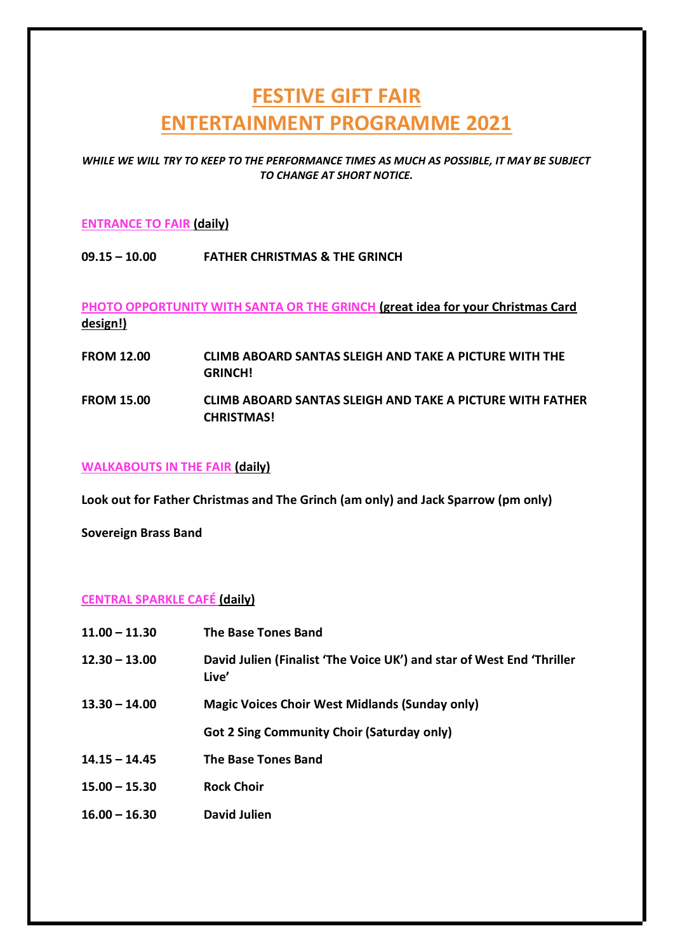# **FESTIVE GIFT FAIR ENTERTAINMENT PROGRAMME 2021**

*WHILE WE WILL TRY TO KEEP TO THE PERFORMANCE TIMES AS MUCH AS POSSIBLE, IT MAY BE SUBJECT TO CHANGE AT SHORT NOTICE.*

#### **ENTRANCE TO FAIR (daily)**

### **09.15 – 10.00 FATHER CHRISTMAS & THE GRINCH**

**PHOTO OPPORTUNITY WITH SANTA OR THE GRINCH (great idea for your Christmas Card design!)**

**FROM 12.00 CLIMB ABOARD SANTAS SLEIGH AND TAKE A PICTURE WITH THE GRINCH! FROM 15.00 CLIMB ABOARD SANTAS SLEIGH AND TAKE A PICTURE WITH FATHER CHRISTMAS!**

#### **WALKABOUTS IN THE FAIR (daily)**

**Look out for Father Christmas and The Grinch (am only) and Jack Sparrow (pm only)** 

**Sovereign Brass Band**

#### **CENTRAL SPARKLE CAFÉ (daily)**

| $11.00 - 11.30$ | <b>The Base Tones Band</b>                                                     |
|-----------------|--------------------------------------------------------------------------------|
| $12.30 - 13.00$ | David Julien (Finalist 'The Voice UK') and star of West End 'Thriller<br>Live' |
| $13.30 - 14.00$ | <b>Magic Voices Choir West Midlands (Sunday only)</b>                          |
|                 | <b>Got 2 Sing Community Choir (Saturday only)</b>                              |
| $14.15 - 14.45$ | <b>The Base Tones Band</b>                                                     |
| $15.00 - 15.30$ | <b>Rock Choir</b>                                                              |
| $16.00 - 16.30$ | David Julien                                                                   |